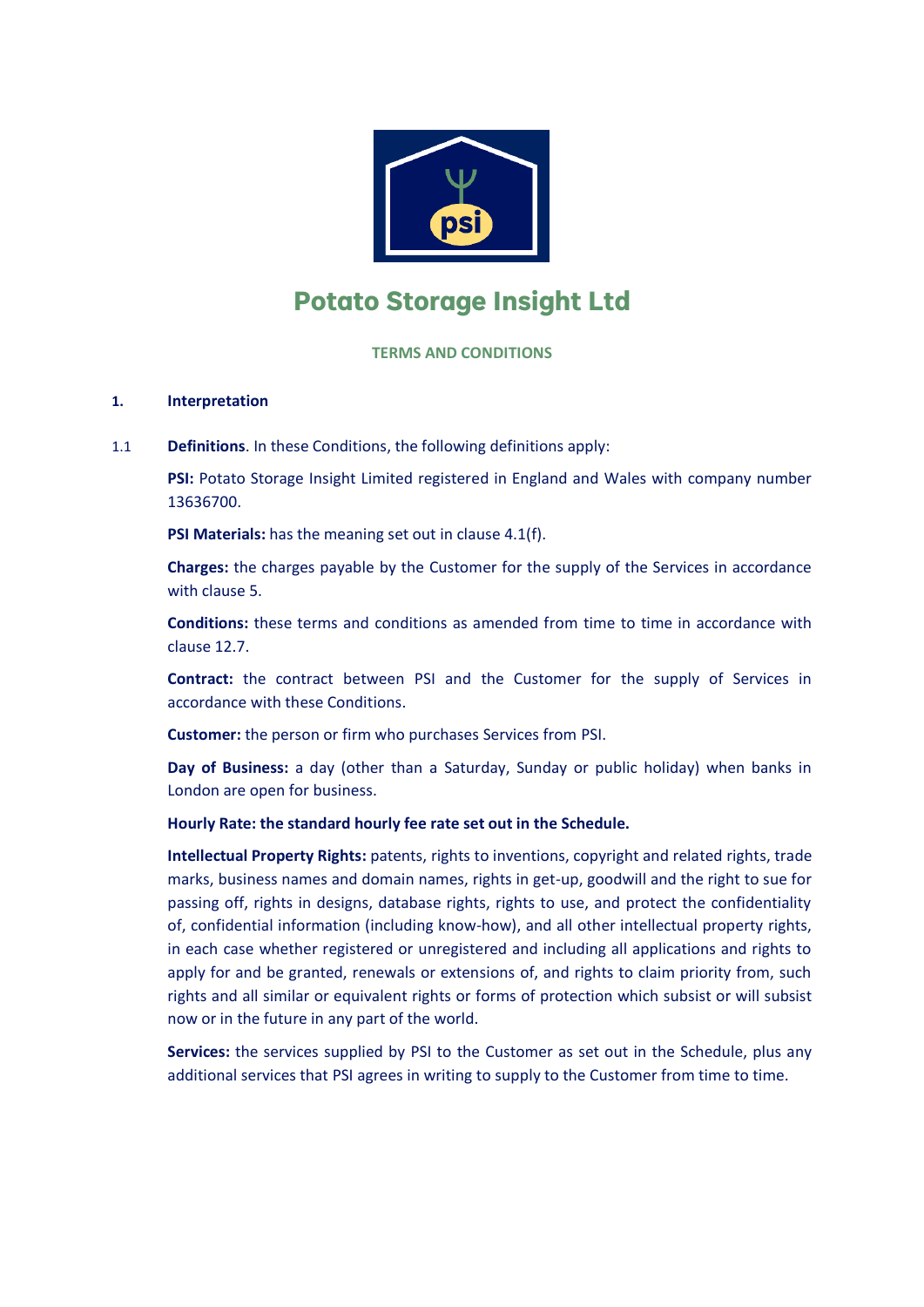

# **Potato Storage Insight Ltd**

**TERMS AND CONDITIONS**

# **1. Interpretation**

1.1 **Definitions**. In these Conditions, the following definitions apply:

**PSI:** Potato Storage Insight Limited registered in England and Wales with company number 13636700.

**PSI Materials:** has the meaning set out in clause [4.1\(f\).](#page-2-0)

**Charges:** the charges payable by the Customer for the supply of the Services in accordance with clause [5.](#page-3-0)

**Conditions:** these terms and conditions as amended from time to time in accordance with claus[e 12.7.](#page-8-0)

**Contract:** the contract between PSI and the Customer for the supply of Services in accordance with these Conditions.

**Customer:** the person or firm who purchases Services from PSI.

**Day of Business:** a day (other than a Saturday, Sunday or public holiday) when banks in London are open for business.

## **Hourly Rate: the standard hourly fee rate set out in the Schedule.**

**Intellectual Property Rights:** patents, rights to inventions, copyright and related rights, trade marks, business names and domain names, rights in get-up, goodwill and the right to sue for passing off, rights in designs, database rights, rights to use, and protect the confidentiality of, confidential information (including know-how), and all other intellectual property rights, in each case whether registered or unregistered and including all applications and rights to apply for and be granted, renewals or extensions of, and rights to claim priority from, such rights and all similar or equivalent rights or forms of protection which subsist or will subsist now or in the future in any part of the world.

**Services:** the services supplied by PSI to the Customer as set out in the Schedule, plus any additional services that PSI agrees in writing to supply to the Customer from time to time.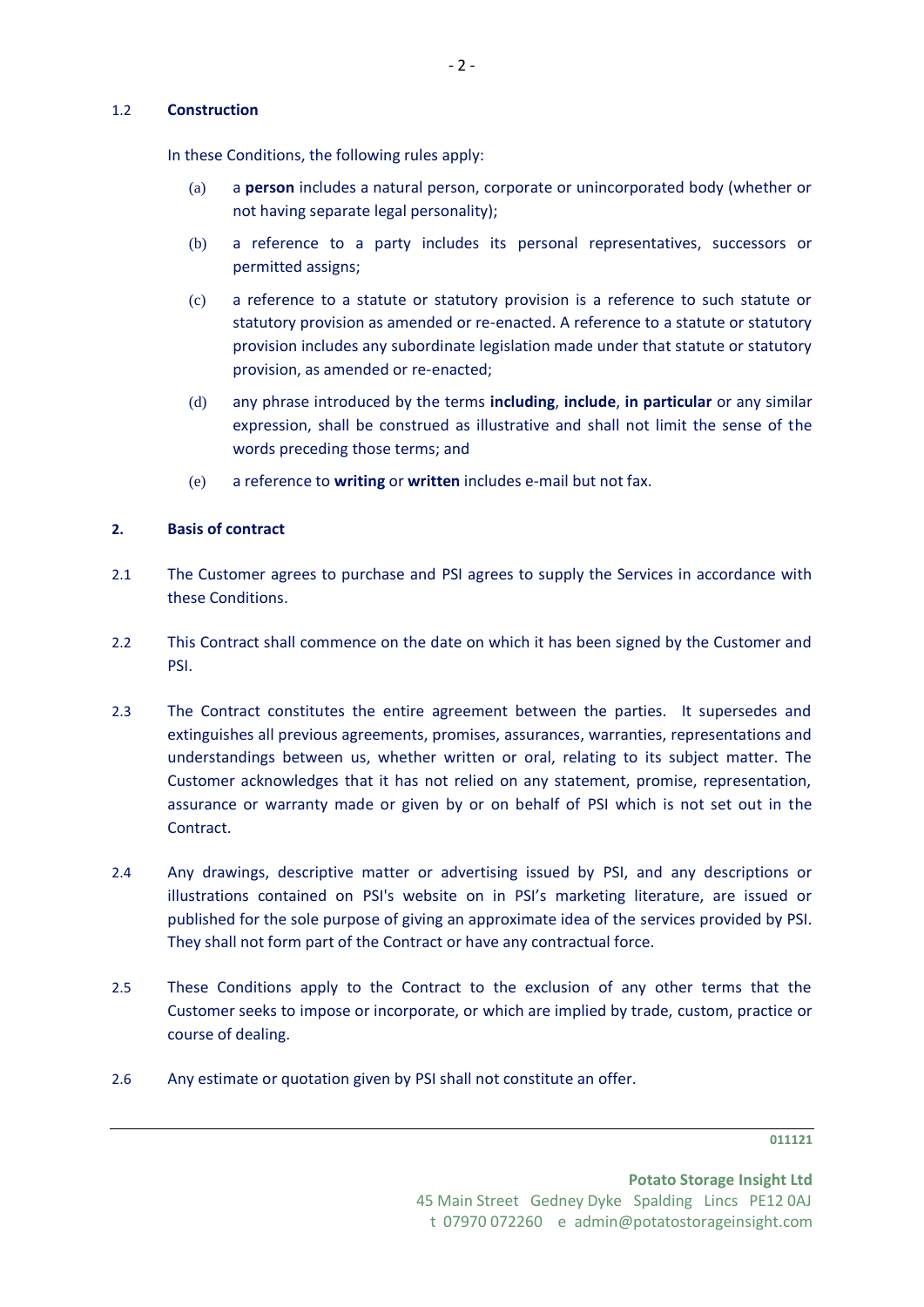## 1.2 **Construction**

In these Conditions, the following rules apply:

- (a) a **person** includes a natural person, corporate or unincorporated body (whether or not having separate legal personality);
- (b) a reference to a party includes its personal representatives, successors or permitted assigns;
- (c) a reference to a statute or statutory provision is a reference to such statute or statutory provision as amended or re-enacted. A reference to a statute or statutory provision includes any subordinate legislation made under that statute or statutory provision, as amended or re-enacted;
- (d) any phrase introduced by the terms **including**, **include**, **in particular** or any similar expression, shall be construed as illustrative and shall not limit the sense of the words preceding those terms; and
- (e) a reference to **writing** or **written** includes e-mail but not fax.

## **2. Basis of contract**

- 2.1 The Customer agrees to purchase and PSI agrees to supply the Services in accordance with these Conditions.
- 2.2 This Contract shall commence on the date on which it has been signed by the Customer and PSI.
- 2.3 The Contract constitutes the entire agreement between the parties. It supersedes and extinguishes all previous agreements, promises, assurances, warranties, representations and understandings between us, whether written or oral, relating to its subject matter. The Customer acknowledges that it has not relied on any statement, promise, representation, assurance or warranty made or given by or on behalf of PSI which is not set out in the Contract.
- 2.4 Any drawings, descriptive matter or advertising issued by PSI, and any descriptions or illustrations contained on PSI's website on in PSI's marketing literature, are issued or published for the sole purpose of giving an approximate idea of the services provided by PSI. They shall not form part of the Contract or have any contractual force.
- 2.5 These Conditions apply to the Contract to the exclusion of any other terms that the Customer seeks to impose or incorporate, or which are implied by trade, custom, practice or course of dealing.
- 2.6 Any estimate or quotation given by PSI shall not constitute an offer.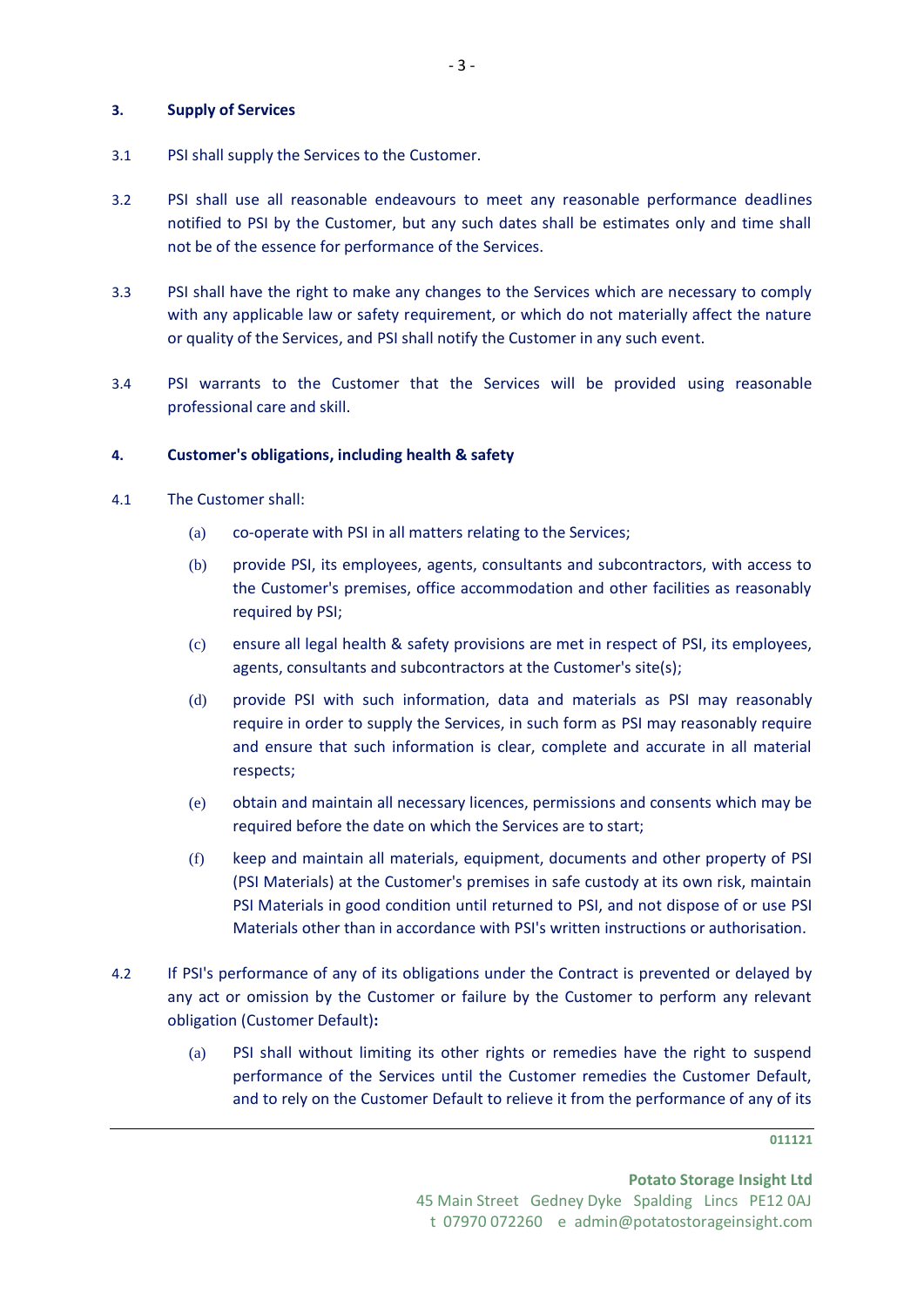#### **3. Supply of Services**

- 3.1 PSI shall supply the Services to the Customer.
- 3.2 PSI shall use all reasonable endeavours to meet any reasonable performance deadlines notified to PSI by the Customer, but any such dates shall be estimates only and time shall not be of the essence for performance of the Services.
- 3.3 PSI shall have the right to make any changes to the Services which are necessary to comply with any applicable law or safety requirement, or which do not materially affect the nature or quality of the Services, and PSI shall notify the Customer in any such event.
- 3.4 PSI warrants to the Customer that the Services will be provided using reasonable professional care and skill.

#### **4. Customer's obligations, including health & safety**

- 4.1 The Customer shall:
	- (a) co-operate with PSI in all matters relating to the Services;
	- (b) provide PSI, its employees, agents, consultants and subcontractors, with access to the Customer's premises, office accommodation and other facilities as reasonably required by PSI;
	- (c) ensure all legal health & safety provisions are met in respect of PSI, its employees, agents, consultants and subcontractors at the Customer's site(s);
	- (d) provide PSI with such information, data and materials as PSI may reasonably require in order to supply the Services, in such form as PSI may reasonably require and ensure that such information is clear, complete and accurate in all material respects;
	- (e) obtain and maintain all necessary licences, permissions and consents which may be required before the date on which the Services are to start;
	- (f) keep and maintain all materials, equipment, documents and other property of PSI (PSI Materials) at the Customer's premises in safe custody at its own risk, maintain PSI Materials in good condition until returned to PSI, and not dispose of or use PSI Materials other than in accordance with PSI's written instructions or authorisation.
- <span id="page-2-1"></span><span id="page-2-0"></span>4.2 If PSI's performance of any of its obligations under the Contract is prevented or delayed by any act or omission by the Customer or failure by the Customer to perform any relevant obligation (Customer Default)**:**
	- (a) PSI shall without limiting its other rights or remedies have the right to suspend performance of the Services until the Customer remedies the Customer Default, and to rely on the Customer Default to relieve it from the performance of any of its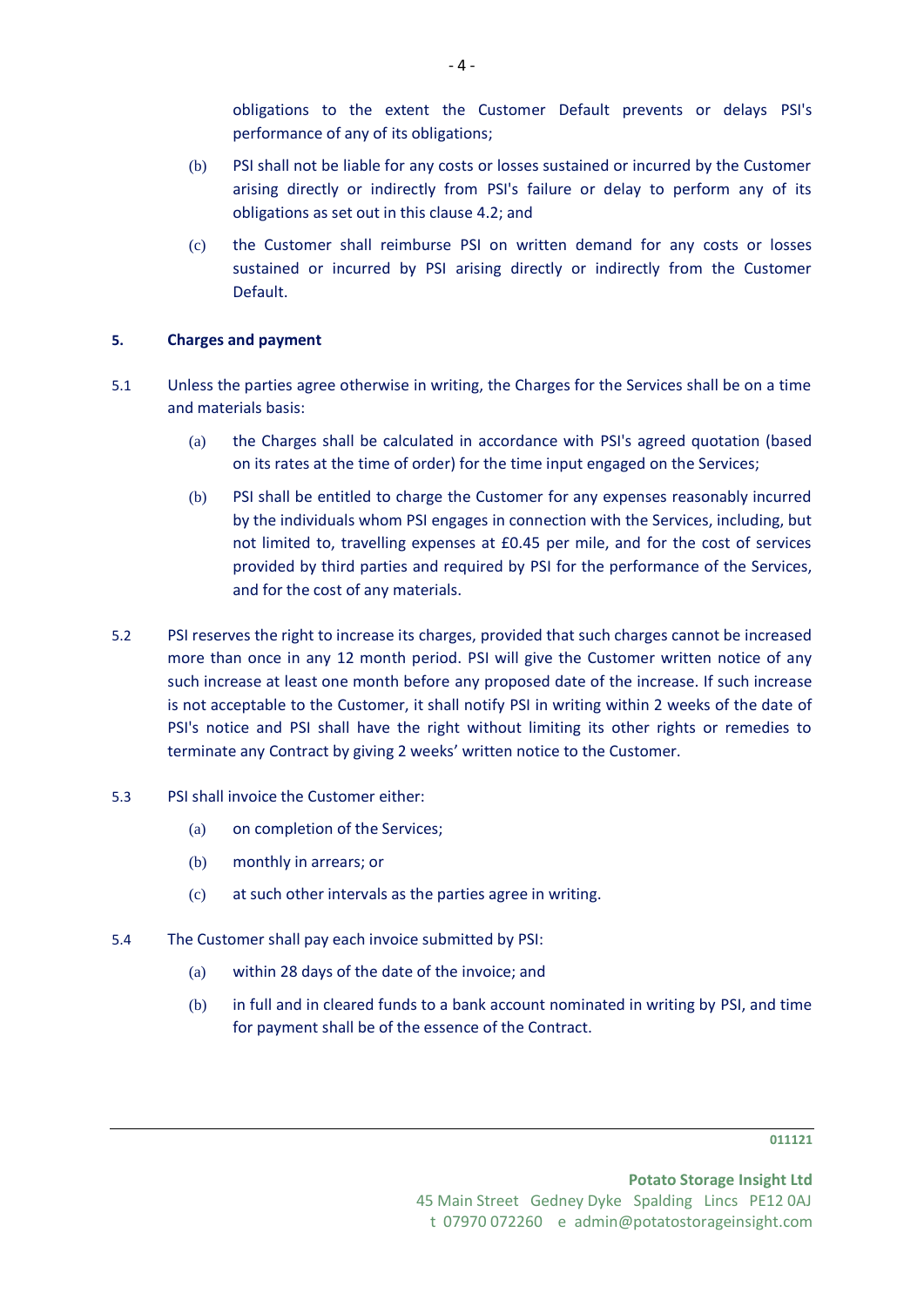obligations to the extent the Customer Default prevents or delays PSI's performance of any of its obligations;

- (b) PSI shall not be liable for any costs or losses sustained or incurred by the Customer arising directly or indirectly from PSI's failure or delay to perform any of its obligations as set out in this clause [4.2;](#page-2-1) and
- (c) the Customer shall reimburse PSI on written demand for any costs or losses sustained or incurred by PSI arising directly or indirectly from the Customer Default.

## <span id="page-3-0"></span>**5. Charges and payment**

- 5.1 Unless the parties agree otherwise in writing, the Charges for the Services shall be on a time and materials basis:
	- (a) the Charges shall be calculated in accordance with PSI's agreed quotation (based on its rates at the time of order) for the time input engaged on the Services;
	- (b) PSI shall be entitled to charge the Customer for any expenses reasonably incurred by the individuals whom PSI engages in connection with the Services, including, but not limited to, travelling expenses at £0.45 per mile, and for the cost of services provided by third parties and required by PSI for the performance of the Services, and for the cost of any materials.
- 5.2 PSI reserves the right to increase its charges, provided that such charges cannot be increased more than once in any 12 month period. PSI will give the Customer written notice of any such increase at least one month before any proposed date of the increase. If such increase is not acceptable to the Customer, it shall notify PSI in writing within 2 weeks of the date of PSI's notice and PSI shall have the right without limiting its other rights or remedies to terminate any Contract by giving 2 weeks' written notice to the Customer.
- 5.3 PSI shall invoice the Customer either:
	- (a) on completion of the Services;
	- (b) monthly in arrears; or
	- (c) at such other intervals as the parties agree in writing.
- 5.4 The Customer shall pay each invoice submitted by PSI:
	- (a) within 28 days of the date of the invoice; and
	- (b) in full and in cleared funds to a bank account nominated in writing by PSI, and time for payment shall be of the essence of the Contract.

**Potato Storage Insight Ltd** 45 Main Street Gedney Dyke Spalding Lincs PE12 0AJ t 07970 072260 e admin@potatostorageinsight.com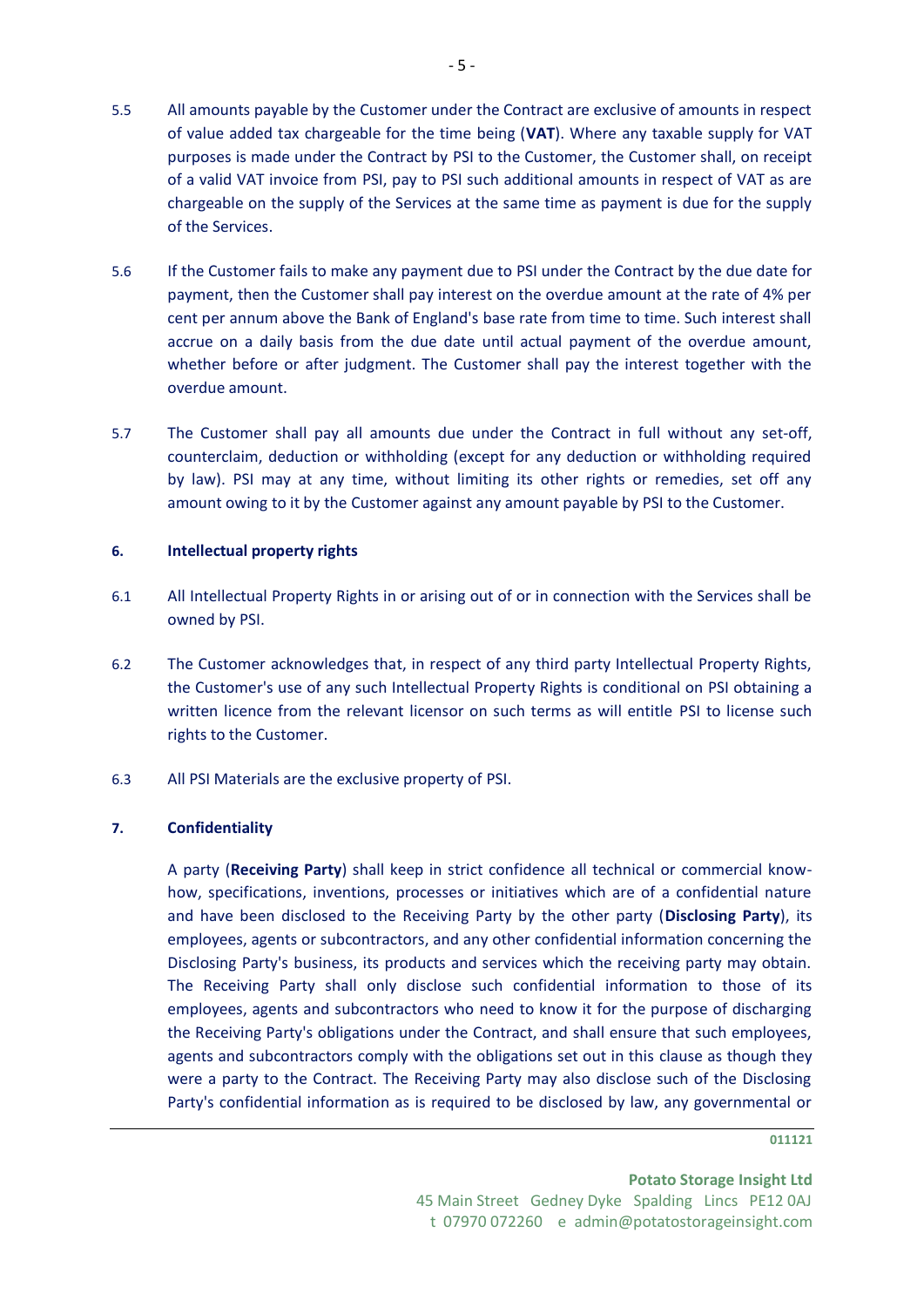- 5.5 All amounts payable by the Customer under the Contract are exclusive of amounts in respect of value added tax chargeable for the time being (**VAT**). Where any taxable supply for VAT purposes is made under the Contract by PSI to the Customer, the Customer shall, on receipt of a valid VAT invoice from PSI, pay to PSI such additional amounts in respect of VAT as are chargeable on the supply of the Services at the same time as payment is due for the supply of the Services.
- 5.6 If the Customer fails to make any payment due to PSI under the Contract by the due date for payment, then the Customer shall pay interest on the overdue amount at the rate of 4% per cent per annum above the Bank of England's base rate from time to time. Such interest shall accrue on a daily basis from the due date until actual payment of the overdue amount, whether before or after judgment. The Customer shall pay the interest together with the overdue amount.
- 5.7 The Customer shall pay all amounts due under the Contract in full without any set-off, counterclaim, deduction or withholding (except for any deduction or withholding required by law). PSI may at any time, without limiting its other rights or remedies, set off any amount owing to it by the Customer against any amount payable by PSI to the Customer.

# **6. Intellectual property rights**

- 6.1 All Intellectual Property Rights in or arising out of or in connection with the Services shall be owned by PSI.
- 6.2 The Customer acknowledges that, in respect of any third party Intellectual Property Rights, the Customer's use of any such Intellectual Property Rights is conditional on PSI obtaining a written licence from the relevant licensor on such terms as will entitle PSI to license such rights to the Customer.
- 6.3 All PSI Materials are the exclusive property of PSI.

## <span id="page-4-0"></span>**7. Confidentiality**

A party (**Receiving Party**) shall keep in strict confidence all technical or commercial knowhow, specifications, inventions, processes or initiatives which are of a confidential nature and have been disclosed to the Receiving Party by the other party (**Disclosing Party**), its employees, agents or subcontractors, and any other confidential information concerning the Disclosing Party's business, its products and services which the receiving party may obtain. The Receiving Party shall only disclose such confidential information to those of its employees, agents and subcontractors who need to know it for the purpose of discharging the Receiving Party's obligations under the Contract, and shall ensure that such employees, agents and subcontractors comply with the obligations set out in this clause as though they were a party to the Contract. The Receiving Party may also disclose such of the Disclosing Party's confidential information as is required to be disclosed by law, any governmental or

#### **011121**

**Potato Storage Insight Ltd** 45 Main Street Gedney Dyke Spalding Lincs PE12 0AJ t 07970 072260 e admin@potatostorageinsight.com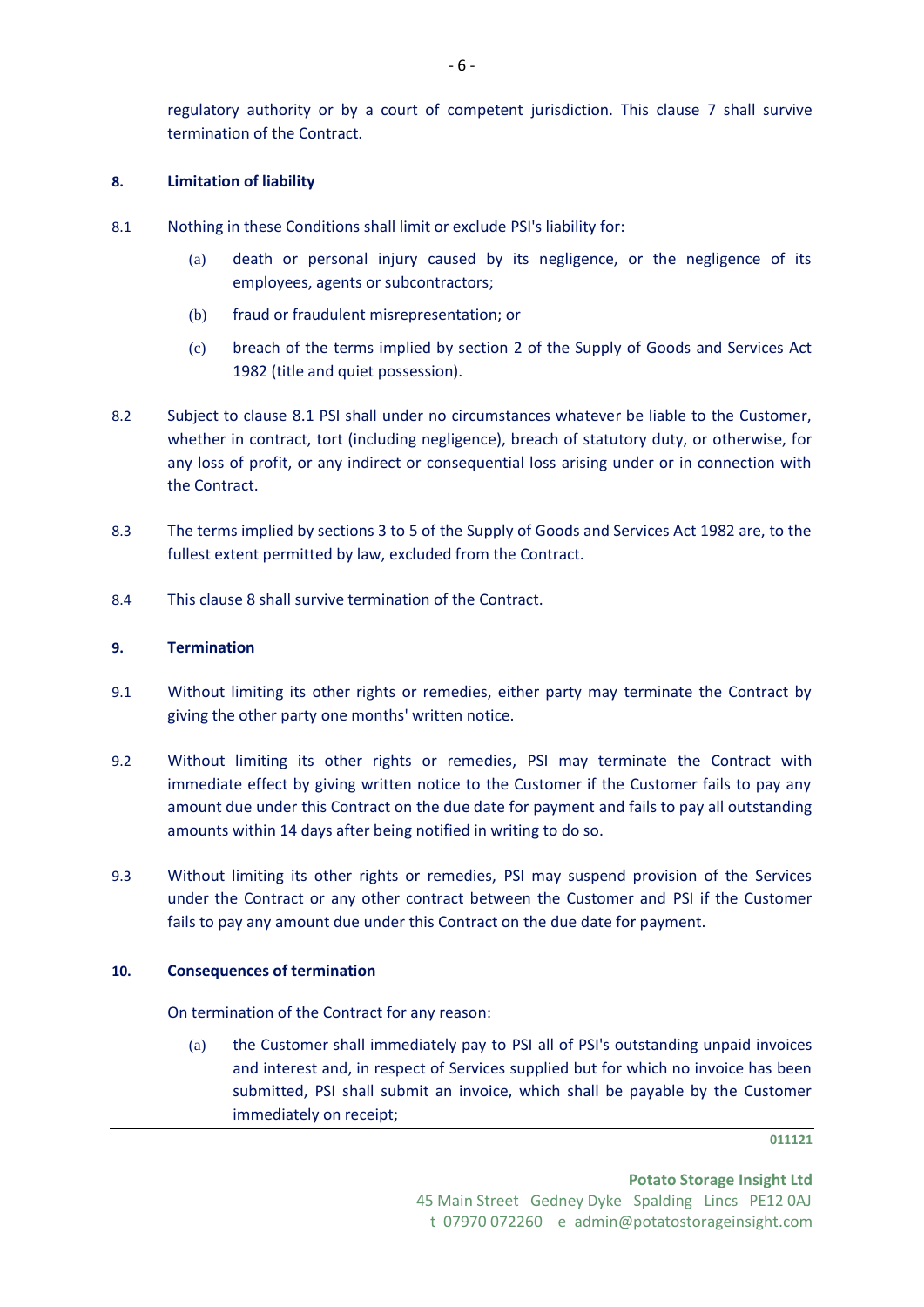# <span id="page-5-1"></span><span id="page-5-0"></span>**8. Limitation of liability**

- 8.1 Nothing in these Conditions shall limit or exclude PSI's liability for:
	- (a) death or personal injury caused by its negligence, or the negligence of its employees, agents or subcontractors;
	- (b) fraud or fraudulent misrepresentation; or
	- (c) breach of the terms implied by section 2 of the Supply of Goods and Services Act 1982 (title and quiet possession).
- 8.2 Subject to clause [8.1](#page-5-0) PSI shall under no circumstances whatever be liable to the Customer, whether in contract, tort (including negligence), breach of statutory duty, or otherwise, for any loss of profit, or any indirect or consequential loss arising under or in connection with the Contract.
- 8.3 The terms implied by sections 3 to 5 of the Supply of Goods and Services Act 1982 are, to the fullest extent permitted by law, excluded from the Contract.
- 8.4 This clause [8](#page-5-1) shall survive termination of the Contract.

## **9. Termination**

- 9.1 Without limiting its other rights or remedies, either party may terminate the Contract by giving the other party one months' written notice.
- 9.2 Without limiting its other rights or remedies, PSI may terminate the Contract with immediate effect by giving written notice to the Customer if the Customer fails to pay any amount due under this Contract on the due date for payment and fails to pay all outstanding amounts within 14 days after being notified in writing to do so.
- 9.3 Without limiting its other rights or remedies, PSI may suspend provision of the Services under the Contract or any other contract between the Customer and PSI if the Customer fails to pay any amount due under this Contract on the due date for payment.

## **10. Consequences of termination**

On termination of the Contract for any reason:

(a) the Customer shall immediately pay to PSI all of PSI's outstanding unpaid invoices and interest and, in respect of Services supplied but for which no invoice has been submitted, PSI shall submit an invoice, which shall be payable by the Customer immediately on receipt;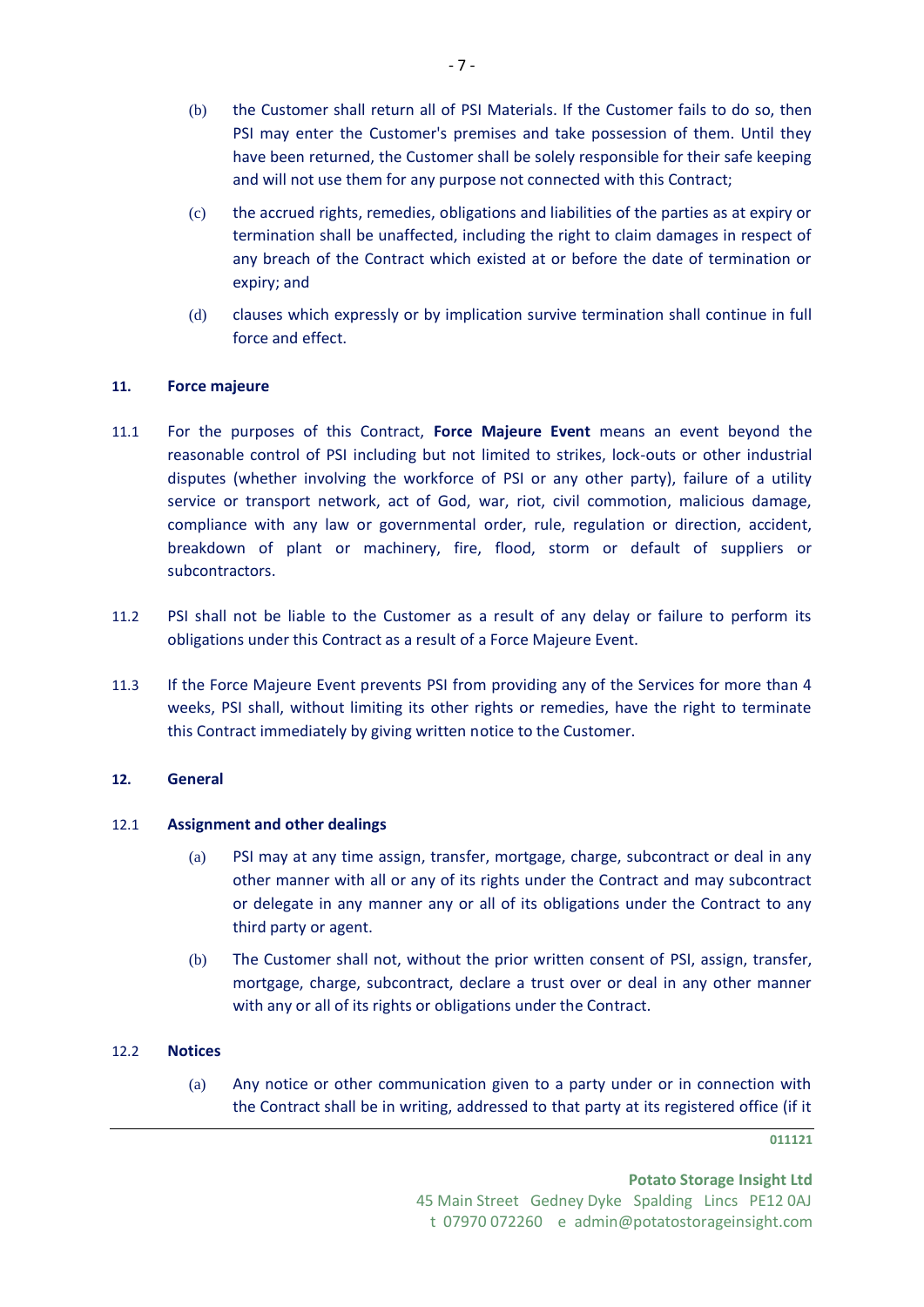- (b) the Customer shall return all of PSI Materials. If the Customer fails to do so, then PSI may enter the Customer's premises and take possession of them. Until they have been returned, the Customer shall be solely responsible for their safe keeping and will not use them for any purpose not connected with this Contract;
- (c) the accrued rights, remedies, obligations and liabilities of the parties as at expiry or termination shall be unaffected, including the right to claim damages in respect of any breach of the Contract which existed at or before the date of termination or expiry; and
- (d) clauses which expressly or by implication survive termination shall continue in full force and effect.

## **11. Force majeure**

- 11.1 For the purposes of this Contract, **Force Majeure Event** means an event beyond the reasonable control of PSI including but not limited to strikes, lock-outs or other industrial disputes (whether involving the workforce of PSI or any other party), failure of a utility service or transport network, act of God, war, riot, civil commotion, malicious damage, compliance with any law or governmental order, rule, regulation or direction, accident, breakdown of plant or machinery, fire, flood, storm or default of suppliers or subcontractors.
- 11.2 PSI shall not be liable to the Customer as a result of any delay or failure to perform its obligations under this Contract as a result of a Force Majeure Event.
- 11.3 If the Force Majeure Event prevents PSI from providing any of the Services for more than 4 weeks, PSI shall, without limiting its other rights or remedies, have the right to terminate this Contract immediately by giving written notice to the Customer.

# **12. General**

## 12.1 **Assignment and other dealings**

- (a) PSI may at any time assign, transfer, mortgage, charge, subcontract or deal in any other manner with all or any of its rights under the Contract and may subcontract or delegate in any manner any or all of its obligations under the Contract to any third party or agent.
- (b) The Customer shall not, without the prior written consent of PSI, assign, transfer, mortgage, charge, subcontract, declare a trust over or deal in any other manner with any or all of its rights or obligations under the Contract.

## <span id="page-6-0"></span>12.2 **Notices**

(a) Any notice or other communication given to a party under or in connection with the Contract shall be in writing, addressed to that party at its registered office (if it

**011121**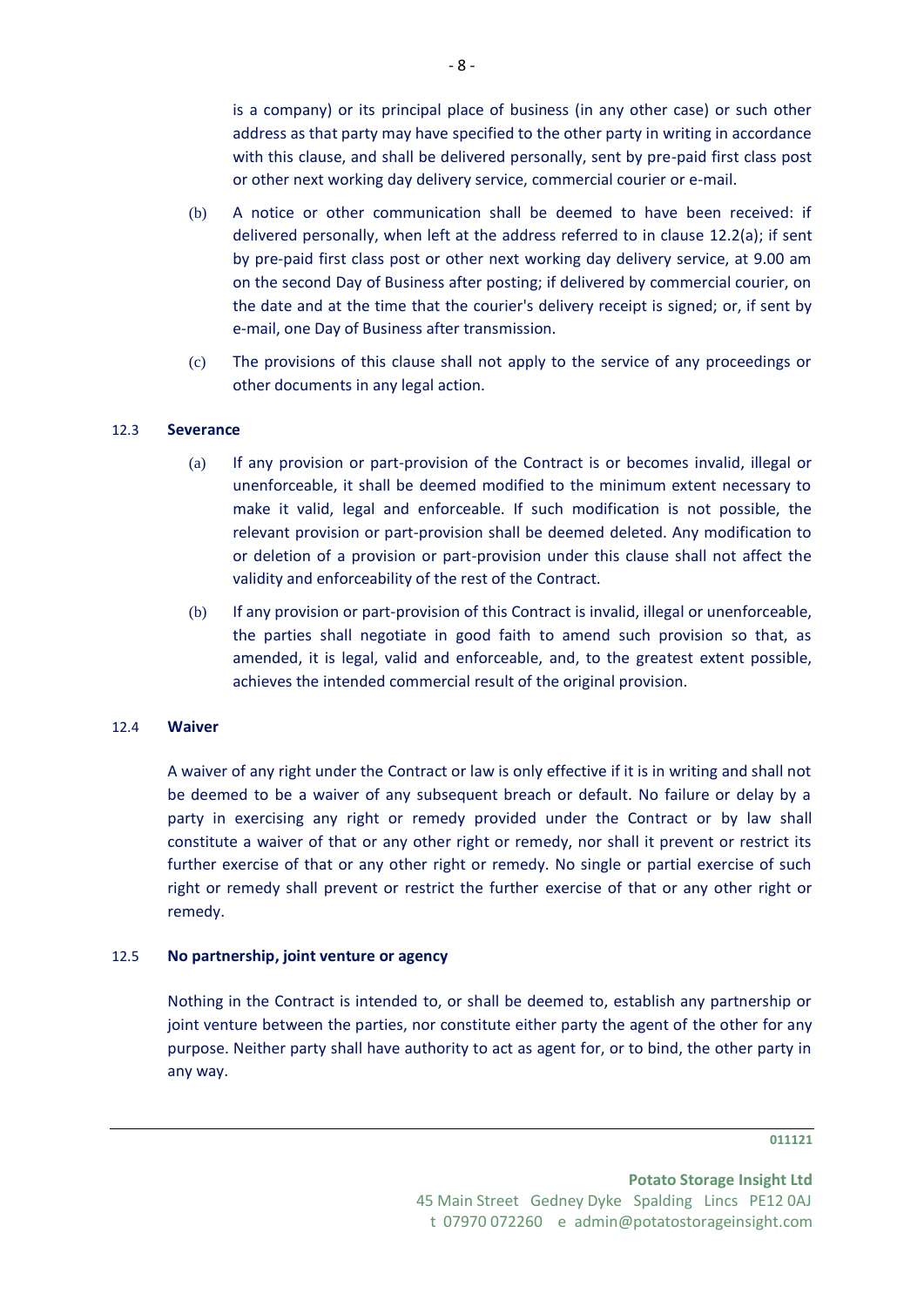is a company) or its principal place of business (in any other case) or such other address as that party may have specified to the other party in writing in accordance with this clause, and shall be delivered personally, sent by pre-paid first class post or other next working day delivery service, commercial courier or e-mail.

- (b) A notice or other communication shall be deemed to have been received: if delivered personally, when left at the address referred to in clause [12.2\(a\);](#page-6-0) if sent by pre-paid first class post or other next working day delivery service, at 9.00 am on the second Day of Business after posting; if delivered by commercial courier, on the date and at the time that the courier's delivery receipt is signed; or, if sent by e-mail, one Day of Business after transmission.
- (c) The provisions of this clause shall not apply to the service of any proceedings or other documents in any legal action.

#### 12.3 **Severance**

- (a) If any provision or part-provision of the Contract is or becomes invalid, illegal or unenforceable, it shall be deemed modified to the minimum extent necessary to make it valid, legal and enforceable. If such modification is not possible, the relevant provision or part-provision shall be deemed deleted. Any modification to or deletion of a provision or part-provision under this clause shall not affect the validity and enforceability of the rest of the Contract.
- (b) If any provision or part-provision of this Contract is invalid, illegal or unenforceable, the parties shall negotiate in good faith to amend such provision so that, as amended, it is legal, valid and enforceable, and, to the greatest extent possible, achieves the intended commercial result of the original provision.

#### 12.4 **Waiver**

A waiver of any right under the Contract or law is only effective if it is in writing and shall not be deemed to be a waiver of any subsequent breach or default. No failure or delay by a party in exercising any right or remedy provided under the Contract or by law shall constitute a waiver of that or any other right or remedy, nor shall it prevent or restrict its further exercise of that or any other right or remedy. No single or partial exercise of such right or remedy shall prevent or restrict the further exercise of that or any other right or remedy.

#### 12.5 **No partnership, joint venture or agency**

Nothing in the Contract is intended to, or shall be deemed to, establish any partnership or joint venture between the parties, nor constitute either party the agent of the other for any purpose. Neither party shall have authority to act as agent for, or to bind, the other party in any way.